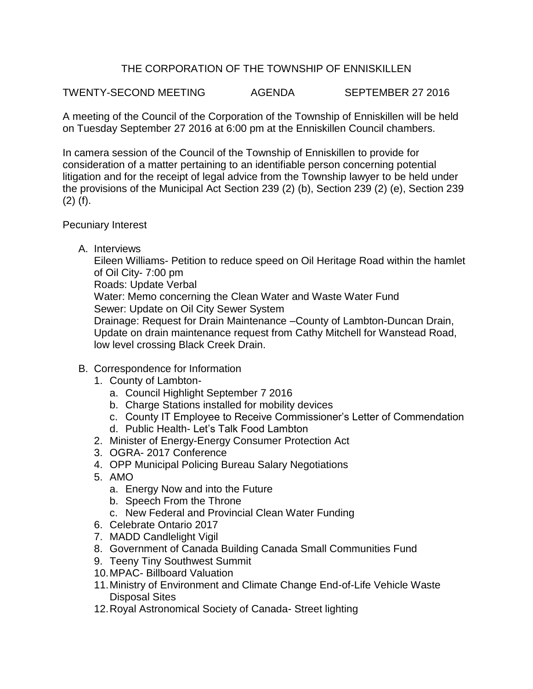## THE CORPORATION OF THE TOWNSHIP OF ENNISKILLEN

TWENTY-SECOND MEETING AGENDA SEPTEMBER 27 2016

A meeting of the Council of the Corporation of the Township of Enniskillen will be held on Tuesday September 27 2016 at 6:00 pm at the Enniskillen Council chambers.

In camera session of the Council of the Township of Enniskillen to provide for consideration of a matter pertaining to an identifiable person concerning potential litigation and for the receipt of legal advice from the Township lawyer to be held under the provisions of the Municipal Act Section 239 (2) (b), Section 239 (2) (e), Section 239 (2) (f).

## Pecuniary Interest

A. Interviews

Eileen Williams- Petition to reduce speed on Oil Heritage Road within the hamlet of Oil City- 7:00 pm Roads: Update Verbal

Water: Memo concerning the Clean Water and Waste Water Fund Sewer: Update on Oil City Sewer System

Drainage: Request for Drain Maintenance –County of Lambton-Duncan Drain, Update on drain maintenance request from Cathy Mitchell for Wanstead Road, low level crossing Black Creek Drain.

- B. Correspondence for Information
	- 1. County of Lambton
		- a. Council Highlight September 7 2016
		- b. Charge Stations installed for mobility devices
		- c. County IT Employee to Receive Commissioner's Letter of Commendation
		- d. Public Health- Let's Talk Food Lambton
	- 2. Minister of Energy-Energy Consumer Protection Act
	- 3. OGRA- 2017 Conference
	- 4. OPP Municipal Policing Bureau Salary Negotiations
	- 5. AMO
		- a. Energy Now and into the Future
		- b. Speech From the Throne
		- c. New Federal and Provincial Clean Water Funding
	- 6. Celebrate Ontario 2017
	- 7. MADD Candlelight Vigil
	- 8. Government of Canada Building Canada Small Communities Fund
	- 9. Teeny Tiny Southwest Summit
	- 10.MPAC- Billboard Valuation
	- 11.Ministry of Environment and Climate Change End-of-Life Vehicle Waste Disposal Sites
	- 12.Royal Astronomical Society of Canada- Street lighting